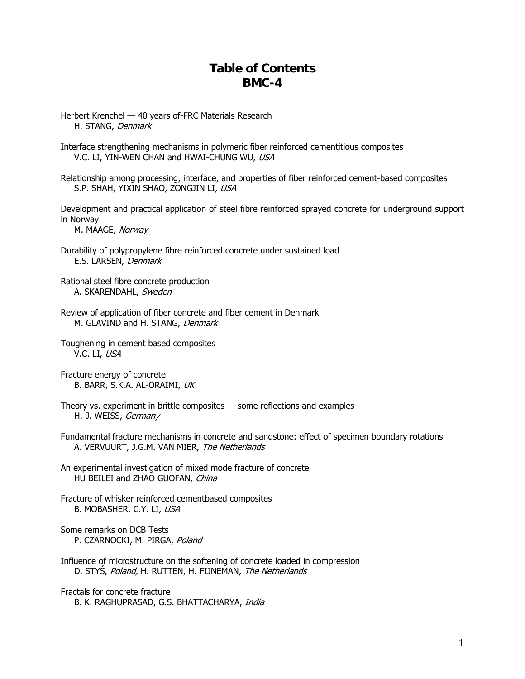## **Table of Contents BMC-4**

- Herbert Krenchel 40 years of-FRC Materials Research H. STANG, Denmark
- Interface strengthening mechanisms in polymeric fiber reinforced cementitious composites V.C. LI, YIN-WEN CHAN and HWAI-CHUNG WU, USA
- Relationship among processing, interface, and properties of fiber reinforced cement-based composites S.P. SHAH, YIXIN SHAO, ZONGJIN LI, USA

Development and practical application of steel fibre reinforced sprayed concrete for underground support in Norway

M. MAAGE, Norway

- Durability of polypropylene fibre reinforced concrete under sustained load E.S. LARSEN, Denmark
- Rational steel fibre concrete production A. SKARENDAHL, Sweden
- Review of application of fiber concrete and fiber cement in Denmark M. GLAVIND and H. STANG, Denmark
- Toughening in cement based composites V.C. LI, USA
- Fracture energy of concrete B. BARR, S.K.A. AL-ORAIMI, UK
- Theory vs. experiment in brittle composites some reflections and examples H.-J. WEISS, Germany
- Fundamental fracture mechanisms in concrete and sandstone: effect of specimen boundary rotations A. VERVUURT, J.G.M. VAN MIER, The Netherlands
- An experimental investigation of mixed mode fracture of concrete HU BEILEI and ZHAO GUOFAN, China
- Fracture of whisker reinforced cementbased composites B. MOBASHER, C.Y. LI, USA
- Some remarks on DCB Tests P. CZARNOCKI, M. PIRGA, Poland
- Influence of microstructure on the softening of concrete loaded in compression D. STYŚ, Poland, H. RUTTEN, H. FIJNEMAN, The Netherlands
- Fractals for concrete fracture B. K. RAGHUPRASAD, G.S. BHATTACHARYA, India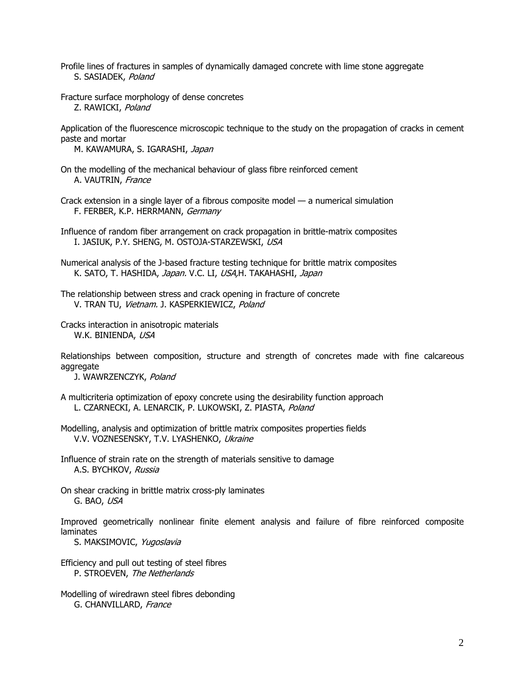- Profile lines of fractures in samples of dynamically damaged concrete with lime stone aggregate S. SASIADEK, Poland
- Fracture surface morphology of dense concretes Z. RAWICKI, Poland

Application of the fluorescence microscopic technique to the study on the propagation of cracks in cement paste and mortar

M. KAWAMURA, S. IGARASHI, Japan

- On the modelling of the mechanical behaviour of glass fibre reinforced cement A. VAUTRIN, France
- Crack extension in a single layer of a fibrous composite model a numerical simulation F. FERBER, K.P. HERRMANN, Germany
- Influence of random fiber arrangement on crack propagation in brittle-matrix composites I. JASIUK, P.Y. SHENG, M. OSTOJA-STARZEWSKI, USA
- Numerical analysis of the J-based fracture testing technique for brittle matrix composites K. SATO, T. HASHIDA, Japan. V.C. LI, USA,H. TAKAHASHI, Japan
- The relationship between stress and crack opening in fracture of concrete V. TRAN TU, Vietnam. J. KASPERKIEWICZ, Poland
- Cracks interaction in anisotropic materials W.K. BINIENDA, USA

Relationships between composition, structure and strength of concretes made with fine calcareous aggregate

J. WAWRZENCZYK, Poland

- A multicriteria optimization of epoxy concrete using the desirability function approach L. CZARNECKI, A. LENARCIK, P. LUKOWSKI, Z. PIASTA, Poland
- Modelling, analysis and optimization of brittle matrix composites properties fields V.V. VOZNESENSKY, T.V. LYASHENKO, Ukraine
- Influence of strain rate on the strength of materials sensitive to damage A.S. BYCHKOV, Russia
- On shear cracking in brittle matrix cross-ply laminates G. BAO, USA

Improved geometrically nonlinear finite element analysis and failure of fibre reinforced composite laminates

S. MAKSIMOVIC, Yugoslavia

- Efficiency and pull out testing of steel fibres P. STROEVEN, The Netherlands
- Modelling of wiredrawn steel fibres debonding G. CHANVILLARD, France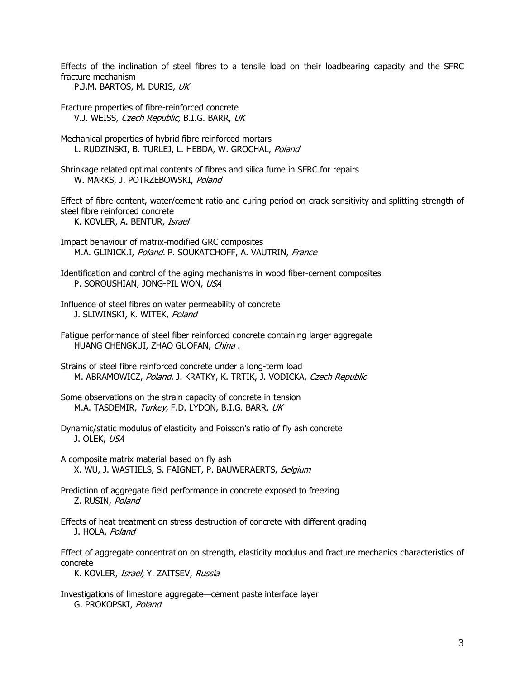Effects of the inclination of steel fibres to a tensile load on their loadbearing capacity and the SFRC fracture mechanism

P.J.M. BARTOS, M. DURIS, UK

Fracture properties of fibre-reinforced concrete V.J. WEISS, Czech Republic, B.I.G. BARR, UK

Mechanical properties of hybrid fibre reinforced mortars L. RUDZINSKI, B. TURLEJ, L. HEBDA, W. GROCHAL, Poland

Shrinkage related optimal contents of fibres and silica fume in SFRC for repairs W. MARKS, J. POTRZEBOWSKI, Poland

Effect of fibre content, water/cement ratio and curing period on crack sensitivity and splitting strength of steel fibre reinforced concrete

K. KOVLER, A. BENTUR, Israel

Impact behaviour of matrix-modified GRC composites M.A. GLINICK.I, Poland. P. SOUKATCHOFF, A. VAUTRIN, France

Identification and control of the aging mechanisms in wood fiber-cement composites P. SOROUSHIAN, JONG-PIL WON, USA

- Influence of steel fibres on water permeability of concrete J. SLIWINSKI, K. WITEK, Poland
- Fatigue performance of steel fiber reinforced concrete containing larger aggregate HUANG CHENGKUI, ZHAO GUOFAN, China .
- Strains of steel fibre reinforced concrete under a long-term load M. ABRAMOWICZ, Poland. J. KRATKY, K. TRTIK, J. VODICKA, Czech Republic
- Some observations on the strain capacity of concrete in tension M.A. TASDEMIR, Turkey, F.D. LYDON, B.I.G. BARR, UK
- Dynamic/static modulus of elasticity and Poisson's ratio of fly ash concrete J. OLEK, USA
- A composite matrix material based on fly ash X. WU, J. WASTIELS, S. FAIGNET, P. BAUWERAERTS, Belgium
- Prediction of aggregate field performance in concrete exposed to freezing Z. RUSIN, Poland
- Effects of heat treatment on stress destruction of concrete with different grading J. HOLA, Poland

Effect of aggregate concentration on strength, elasticity modulus and fracture mechanics characteristics of concrete

K. KOVLER, Israel, Y. ZAITSEV, Russia

Investigations of limestone aggregate—cement paste interface layer G. PROKOPSKI, Poland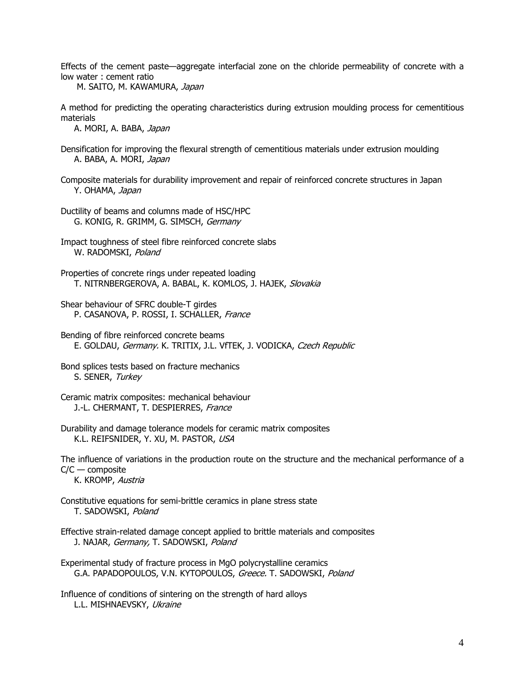Effects of the cement paste—aggregate interfacial zone on the chloride permeability of concrete with a low water : cement ratio

M. SAITO, M. KAWAMURA, Japan

A method for predicting the operating characteristics during extrusion moulding process for cementitious materials

A. MORI, A. BABA, Japan

- Densification for improving the flexural strength of cementitious materials under extrusion moulding A. BABA, A. MORI, Japan
- Composite materials for durability improvement and repair of reinforced concrete structures in Japan Y. OHAMA, Japan

Ductility of beams and columns made of HSC/HPC G. KONIG, R. GRIMM, G. SIMSCH, Germany

- Impact toughness of steel fibre reinforced concrete slabs W. RADOMSKI, Poland
- Properties of concrete rings under repeated loading T. NITRNBERGEROVA, A. BABAL, K. KOMLOS, J. HAJEK, Slovakia
- Shear behaviour of SFRC double-T girdes P. CASANOVA, P. ROSSI, I. SCHALLER, France
- Bending of fibre reinforced concrete beams E. GOLDAU, Germany. K. TRITIX, J.L. VfTEK, J. VODICKA, Czech Republic
- Bond splices tests based on fracture mechanics S. SENER, Turkey
- Ceramic matrix composites: mechanical behaviour J.-L. CHERMANT, T. DESPIERRES, France
- Durability and damage tolerance models for ceramic matrix composites K.L. REIFSNIDER, Y. XU, M. PASTOR, USA

The influence of variations in the production route on the structure and the mechanical performance of a C/C — composite

K. KROMP, Austria

- Constitutive equations for semi-brittle ceramics in plane stress state T. SADOWSKI, Poland
- Effective strain-related damage concept applied to brittle materials and composites J. NAJAR, Germany, T. SADOWSKI, Poland

G.A. PAPADOPOULOS, V.N. KYTOPOULOS, Greece. T. SADOWSKI, Poland Experimental study of fracture process in MgO polycrystalline ceramics

Influence of conditions of sintering on the strength of hard alloys L.L. MISHNAEVSKY, Ukraine